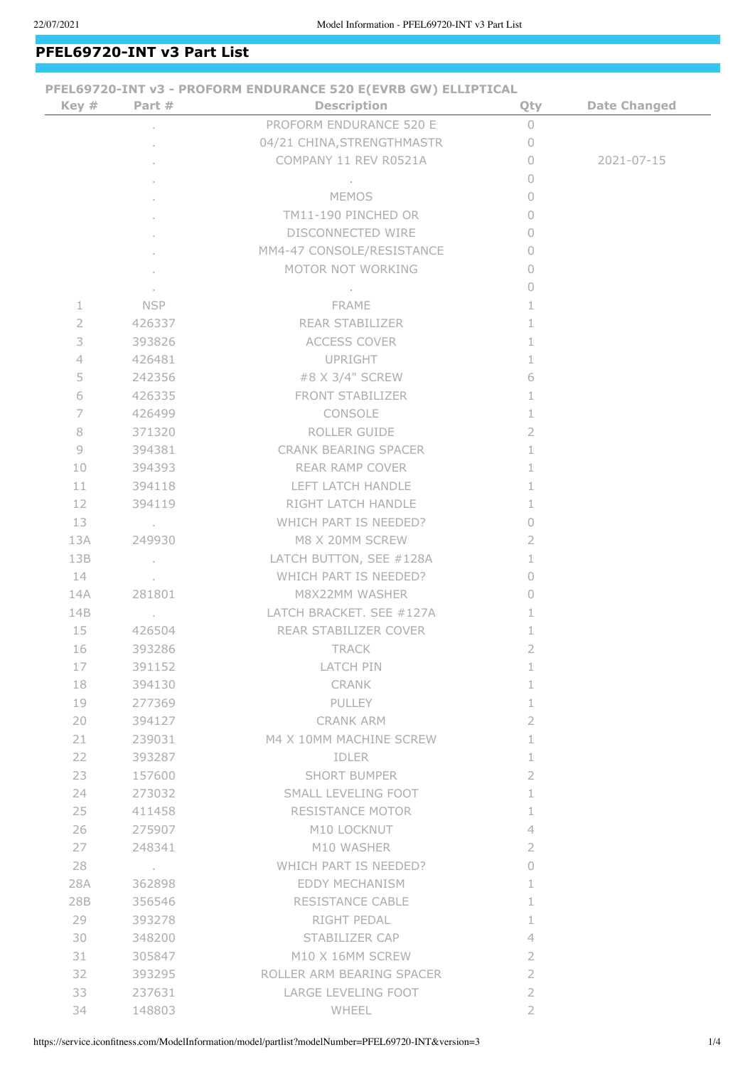## **PFEL69720-INT v3 Part List**

| Key #          | Part #            | PFEL69720-INT v3 - PROFORM ENDURANCE 520 E(EVRB GW) ELLIPTICAL<br><b>Description</b> | Qty            | <b>Date Changed</b> |
|----------------|-------------------|--------------------------------------------------------------------------------------|----------------|---------------------|
|                |                   | PROFORM ENDURANCE 520 E                                                              | $\cup$         |                     |
|                |                   | 04/21 CHINA, STRENGTHMASTR                                                           | $\Omega$       |                     |
|                |                   | COMPANY 11 REV R0521A                                                                | $\bigcap$      | 2021-07-15          |
|                |                   |                                                                                      | 0              |                     |
|                |                   | <b>MEMOS</b>                                                                         | $\circ$        |                     |
|                |                   | TM11-190 PINCHED OR                                                                  | $\Omega$       |                     |
|                |                   | DISCONNECTED WIRE                                                                    | $\cup$         |                     |
|                |                   | MM4-47 CONSOLE/RESISTANCE                                                            | 0              |                     |
|                |                   | MOTOR NOT WORKING                                                                    | $\Omega$       |                     |
|                |                   |                                                                                      | $\cup$         |                     |
| 1              | <b>NSP</b>        | <b>FRAME</b>                                                                         | 1              |                     |
| $\overline{2}$ | 426337            | <b>REAR STABILIZER</b>                                                               | 1              |                     |
| 3              | 393826            | ACCESS COVER                                                                         | 1              |                     |
| $\overline{4}$ | 426481            | UPRIGHT                                                                              | 1              |                     |
| 5              | 242356            | #8 X 3/4" SCREW                                                                      | 6              |                     |
| 6              | 426335            | <b>FRONT STABILIZER</b>                                                              | 1              |                     |
| $\overline{ }$ | 426499            | <b>CONSOLE</b>                                                                       | 1              |                     |
| 8              | 371320            | ROLLER GUIDE                                                                         | 2              |                     |
| 9              | 394381            | <b>CRANK BEARING SPACER</b>                                                          | 1              |                     |
| 10             | 394393            | REAR RAMP COVER                                                                      | 1              |                     |
| 11             | 394118            | LEFT LATCH HANDLE                                                                    | 1              |                     |
| 12             | 394119            | RIGHT LATCH HANDLE                                                                   | 1              |                     |
| 13             | and the con-      | WHICH PART IS NEEDED?                                                                | 0              |                     |
| 13A            | 249930            | M8 X 20MM SCREW                                                                      | 2              |                     |
| 13B            | $\sim 10$         | LATCH BUTTON, SEE #128A                                                              | 1              |                     |
| 14             | <b>Contractor</b> | WHICH PART IS NEEDED?                                                                | 0              |                     |
| 14A            | 281801            | M8X22MM WASHER                                                                       | $\cup$         |                     |
| 14B            | $\sim$            | LATCH BRACKET. SEE #127A                                                             | 1              |                     |
| 15             | 426504            | REAR STABILIZER COVER                                                                | 1              |                     |
| 16             | 393286            | <b>TRACK</b>                                                                         | 2              |                     |
| 17             | 391152            | LATCH PIN                                                                            | 1              |                     |
| 18             | 394130            | CRANK                                                                                | 1              |                     |
| 19             | 277369            | PULLEY                                                                               | 1              |                     |
| 20             | 394127            | CRANK ARM                                                                            | 2              |                     |
| 21             | 239031            | M4 X 10MM MACHINE SCREW                                                              | 1              |                     |
| 22             | 393287            | IDLER                                                                                | 1              |                     |
| 23             | 157600            | <b>SHORT BUMPER</b>                                                                  | 2              |                     |
| 24             | 273032            | SMALL LEVELING FOOT                                                                  | 1              |                     |
| 25             | 411458            | RESISTANCE MOTOR                                                                     | 1              |                     |
| 26             | 275907            | M10 LOCKNUT                                                                          | 4              |                     |
| 27             | 248341            | M10 WASHER                                                                           | 2              |                     |
| 28             | and the con-      | WHICH PART IS NEEDED?                                                                | 0              |                     |
| 28A            | 362898            | EDDY MECHANISM                                                                       | 1              |                     |
| 28B            | 356546            | RESISTANCE CABLE                                                                     | 1              |                     |
| 29             | 393278            | RIGHT PEDAL                                                                          | 1              |                     |
| 30             | 348200            | STABILIZER CAP                                                                       | 4              |                     |
| 31             | 305847            | M10 X 16MM SCREW                                                                     | 2              |                     |
| 32             | 393295            | ROLLER ARM BEARING SPACER                                                            | 2              |                     |
| 33             | 237631            | LARGE LEVELING FOOT                                                                  | $\overline{2}$ |                     |
| 34             | 148803            | WHEEL                                                                                | 2              |                     |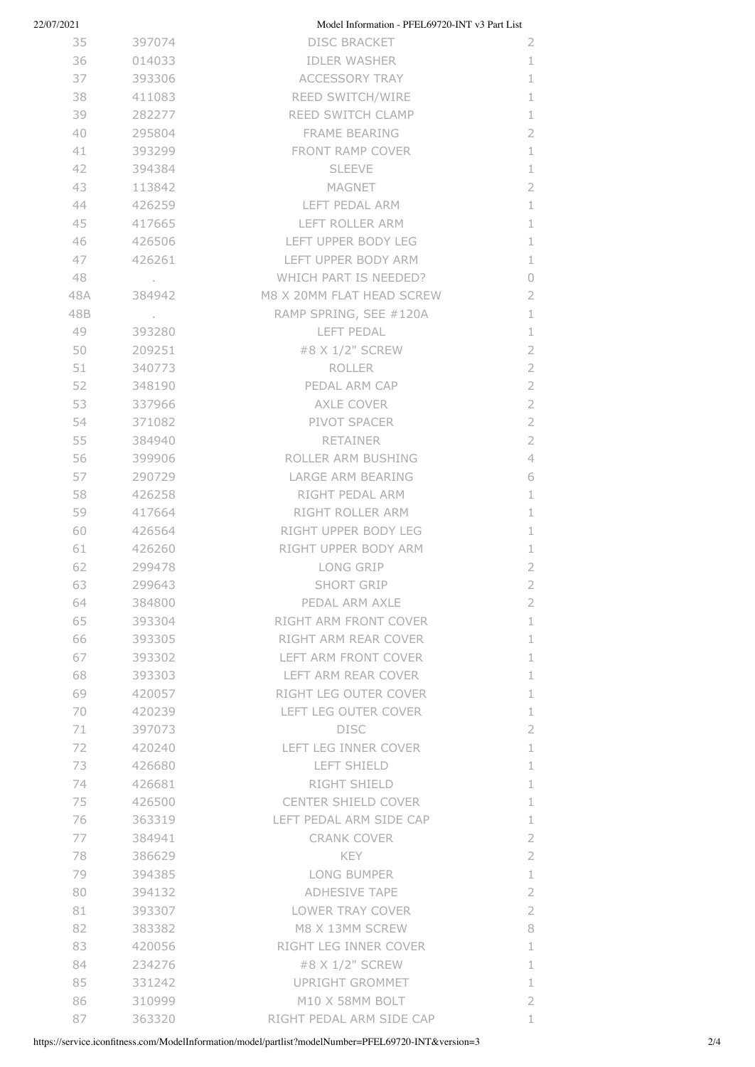| 22/07/2021 |                   | Model Information - PFEL69720-INT v3 Part List |                |
|------------|-------------------|------------------------------------------------|----------------|
| 35         | 397074            | <b>DISC BRACKET</b>                            | 2              |
| 36         | 014033            | <b>IDLER WASHER</b>                            | 1              |
| 37         | 393306            | ACCESSORY TRAY                                 | 1              |
| 38         | 411083            | REED SWITCH/WIRE                               | 1              |
| 39         | 282277            | REED SWITCH CLAMP                              | $\mathbf 1$    |
| 40         | 295804            | <b>FRAME BEARING</b>                           | $\overline{2}$ |
| 41         | 393299            | FRONT RAMP COVER                               | 1              |
| 42         | 394384            | <b>SLEEVE</b>                                  | 1              |
| 43         | 113842            | MAGNET                                         | $\overline{2}$ |
| 44         | 426259            | LEFT PEDAL ARM                                 | $\mathbf 1$    |
| 45         | 417665            | LEFT ROLLER ARM                                | $\mathbf{1}$   |
| 46         | 426506            | LEFT UPPER BODY LEG                            | $\mathbf{1}$   |
| 47         | 426261            | LEFT UPPER BODY ARM                            | 1              |
| 48         | <b>Contractor</b> | WHICH PART IS NEEDED?                          | $\circ$        |
| 48A        | 384942            | M8 X 20MM FLAT HEAD SCREW                      | $\overline{2}$ |
| 48B        |                   | RAMP SPRING, SEE #120A                         | $\mathbf 1$    |
| 49         | 393280            | LEFT PEDAL                                     | $\perp$        |
| 50         | 209251            | #8 X 1/2" SCREW                                | $\overline{2}$ |
| 51         | 340773            | ROLLER                                         | $\overline{2}$ |
| 52         | 348190            | PEDAL ARM CAP                                  | $\overline{2}$ |
| 53         | 337966            | AXLE COVER                                     | $\overline{2}$ |
| 54         | 371082            | PIVOT SPACER                                   | $\sqrt{2}$     |
| 55         | 384940            | RETAINER                                       | $\overline{2}$ |
| 56         | 399906            | ROLLER ARM BUSHING                             | $\overline{4}$ |
| 57         | 290729            | LARGE ARM BEARING                              | 6              |
| 58         | 426258            | RIGHT PEDAL ARM                                | $\mathbf{1}$   |
| 59         | 417664            | RIGHT ROLLER ARM                               | $\mathbf{1}$   |
| 60         | 426564            | RIGHT UPPER BODY LEG                           | 1              |
| 61         | 426260            | RIGHT UPPER BODY ARM                           | $\mathbf 1$    |
| 62         | 299478            | LONG GRIP                                      | $\overline{2}$ |
| 63         | 299643            | <b>SHORT GRIP</b>                              | $\overline{2}$ |
| 64         | 384800            | PEDAL ARM AXLE                                 | 2              |
| 65         | 393304            | RIGHT ARM FRONT COVER                          | $\perp$        |
| 66         | 393305            | RIGHT ARM REAR COVER                           | $\mathbf 1$    |
| 67         | 393302            | LEFT ARM FRONT COVER                           | $\mathbf 1$    |
| 68         | 393303            | LEFT ARM REAR COVER                            | $\mathbf{1}$   |
| 69         | 420057            | RIGHT LEG OUTER COVER                          | $\perp$        |
| 70         | 420239            | LEFT LEG OUTER COVER                           | $\perp$        |
| 71         | 397073            | <b>DISC</b>                                    | $\overline{2}$ |
| 72         | 420240            | LEFT LEG INNER COVER                           | $\mathbf 1$    |
| 73         | 426680            | LEFT SHIELD                                    | $\perp$        |
| 74         | 426681            | <b>RIGHT SHIELD</b>                            | 1              |
| 75         | 426500            | <b>CENTER SHIELD COVER</b>                     | 1              |
| 76         | 363319            | LEFT PEDAL ARM SIDE CAP                        | $\perp$        |
| 77         | 384941            | <b>CRANK COVER</b>                             | $\overline{2}$ |
| 78         | 386629            | <b>KEY</b>                                     | $\mathbf 2$    |
| 79         | 394385            | <b>LONG BUMPER</b>                             | $\perp$        |
| 80         | 394132            | <b>ADHESIVE TAPE</b>                           | $\overline{2}$ |
| 81         | 393307            | LOWER TRAY COVER                               | $\sqrt{2}$     |
| 82         | 383382            | M8 X 13MM SCREW                                | 8              |
| 83         | 420056            | RIGHT LEG INNER COVER                          | $\mathbf{1}$   |
| 84         | 234276            | #8 X 1/2" SCREW                                | $\perp$        |
| 85         | 331242            | UPRIGHT GROMMET                                | $\perp$        |
| 86         | 310999            | M10 X 58MM BOLT                                | $\overline{2}$ |
| 87         | 363320            | RIGHT PEDAL ARM SIDE CAP                       | 1              |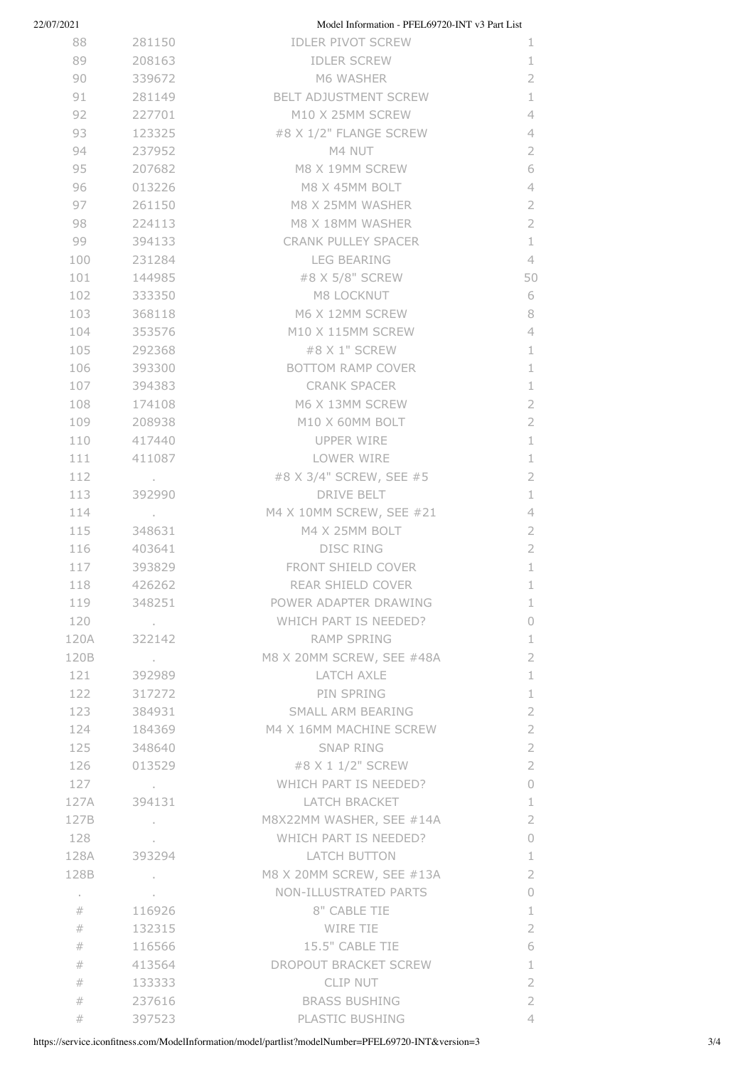| 22/07/2021 |                 | Model Information - PFEL69720-INT v3 Part List |                |
|------------|-----------------|------------------------------------------------|----------------|
| 88         | 281150          | <b>IDLER PIVOT SCREW</b>                       | 1.             |
| 89         | 208163          | <b>IDLER SCREW</b>                             | 1              |
| 90         | 339672          | M6 WASHER                                      | $\overline{2}$ |
| 91         | 281149          | BELT ADJUSTMENT SCREW                          | $\mathbf{1}$   |
| 92         | 227701          | M10 X 25MM SCREW                               | 4              |
| 93         | 123325          | #8 X 1/2" FLANGE SCREW                         | $\overline{4}$ |
| 94         | 237952          | M4 NUT                                         | $\overline{2}$ |
| 95         | 207682          | M8 X 19MM SCREW                                | 6              |
| 96         | 013226          | M8 X 45MM BOLT                                 | 4              |
| 97         | 261150          | M8 X 25MM WASHER                               | $\overline{2}$ |
| 98         | 224113          | M8 X 18MM WASHER                               | $\overline{2}$ |
| 99         | 394133          | CRANK PULLEY SPACER                            | $\mathbf{1}$   |
| 100        | 231284          | <b>LEG BEARING</b>                             | $\overline{4}$ |
| 101        | 144985          | #8 X 5/8" SCREW                                | 50             |
| 102        | 333350          | M8 LOCKNUT                                     | 6              |
| 103        | 368118          | M6 X 12MM SCREW                                | 8              |
| 104        | 353576          | M10 X 115MM SCREW                              | $\overline{4}$ |
| 105        | 292368          | #8 X 1" SCREW                                  | $\mathbf 1$    |
| 106        | 393300          | BOTTOM RAMP COVER                              | $\mathbf 1$    |
| 107        | 394383          | <b>CRANK SPACER</b>                            | 1              |
| 108        | 174108          | M6 X 13MM SCREW                                | $\overline{2}$ |
| 109        | 208938          | M10 X 60MM BOLT                                | $\overline{2}$ |
| 110        | 417440          | UPPER WIRE                                     | 1              |
| 111        | 411087          | LOWER WIRE                                     | $\perp$        |
| 112        | and the con-    | #8 X 3/4" SCREW, SEE #5                        | $\overline{2}$ |
| 113        | 392990          | <b>DRIVE BELT</b>                              | 1              |
| 114        | <b>Contract</b> | M4 X 10MM SCREW, SEE #21                       | $\overline{4}$ |
| 115        | 348631          | M4 X 25MM BOLT                                 | $\overline{2}$ |
| 116        | 403641          | <b>DISC RING</b>                               | $\overline{2}$ |
| 117        | 393829          | FRONT SHIELD COVER                             | $\mathbf 1$    |
| 118        | 426262          | REAR SHIELD COVER                              | $\mathbf 1$    |
| 119        | 348251          | POWER ADAPTER DRAWING                          | 1              |
| 120        | and the con-    | WHICH PART IS NEEDED?                          | $\circ$        |
| 120A       | 322142          | <b>RAMP SPRING</b>                             | $\mathbf 1$    |
| 120B       | and the con-    | M8 X 20MM SCREW, SEE #48A                      | $\overline{2}$ |
| 121        | 392989          | LATCH AXLE                                     | $\perp$        |
|            | 122 317272      | PIN SPRING                                     | 1              |
| 123        | 384931          | SMALL ARM BEARING                              | $\overline{2}$ |
| 124        | 184369          | M4 X 16MM MACHINE SCREW                        | $\overline{2}$ |
| 125        | 348640          | SNAP RING                                      | $\overline{2}$ |
| 126        | 013529          | #8 X 1 1/2" SCREW                              | $\overline{2}$ |
| 127        | and the control | WHICH PART IS NEEDED?                          | 0              |
|            | 127A 394131     | LATCH BRACKET                                  | $\mathbf 1$    |
| 127B       | and the control | M8X22MM WASHER, SEE #14A                       | $\overline{2}$ |
| 128        |                 | WHICH PART IS NEEDED?                          | $\circ$        |
| 128A       | 393294          | LATCH BUTTON                                   | $\mathbf 1$    |
| 128B       | and the control | M8 X 20MM SCREW, SEE #13A                      | $\overline{2}$ |
| $\sim$     |                 | NON-ILLUSTRATED PARTS                          | $\circ$        |
| #          | 116926          | 8" CABLE TIE                                   | $\mathbf 1$    |
| #          | 132315          | WIRE TIE                                       | $\overline{2}$ |
| #          | 116566          | 15.5" CABLE TIE                                | 6              |
| #          | 413564          | DROPOUT BRACKET SCREW                          | $\perp$        |
| #          | 133333          | CLIP NUT                                       | $\overline{2}$ |
| #          | 237616          | <b>BRASS BUSHING</b>                           | $\overline{2}$ |
| #          | 397523          | PLASTIC BUSHING                                | 4              |